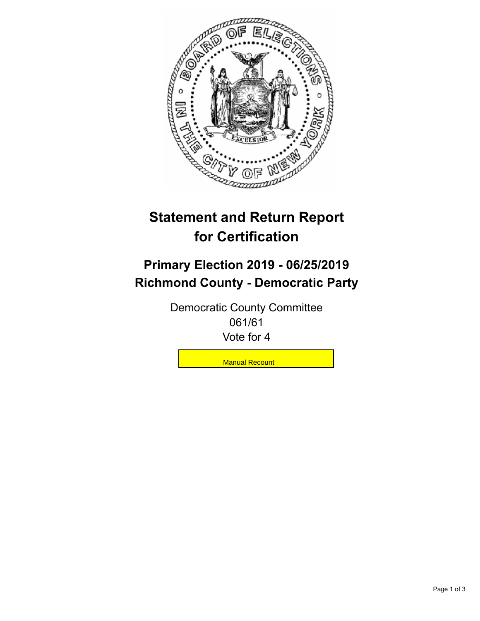

## **Statement and Return Report for Certification**

## **Primary Election 2019 - 06/25/2019 Richmond County - Democratic Party**

Democratic County Committee 061/61 Vote for 4

**Manual Recount**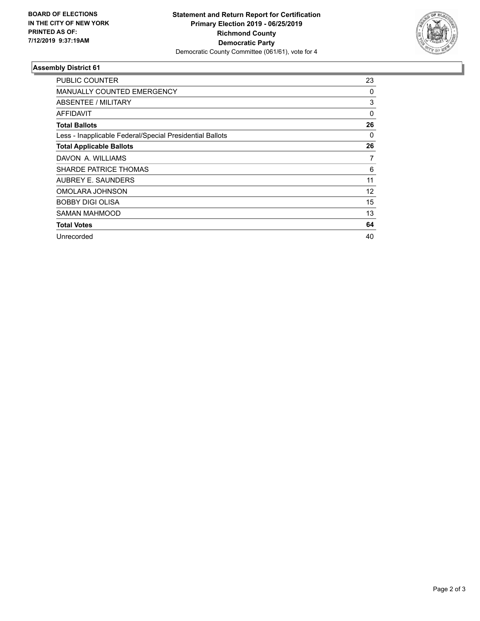

## **Assembly District 61**

| <b>PUBLIC COUNTER</b>                                    | 23       |
|----------------------------------------------------------|----------|
| <b>MANUALLY COUNTED EMERGENCY</b>                        | 0        |
| ABSENTEE / MILITARY                                      | 3        |
| AFFIDAVIT                                                | $\Omega$ |
| <b>Total Ballots</b>                                     | 26       |
| Less - Inapplicable Federal/Special Presidential Ballots | 0        |
| <b>Total Applicable Ballots</b>                          | 26       |
| DAVON A. WILLIAMS                                        | 7        |
| <b>SHARDE PATRICE THOMAS</b>                             | 6        |
| AUBREY E. SAUNDERS                                       | 11       |
| OMOLARA JOHNSON                                          | 12       |
| <b>BOBBY DIGI OLISA</b>                                  | 15       |
| <b>SAMAN MAHMOOD</b>                                     | 13       |
| <b>Total Votes</b>                                       | 64       |
| Unrecorded                                               | 40       |